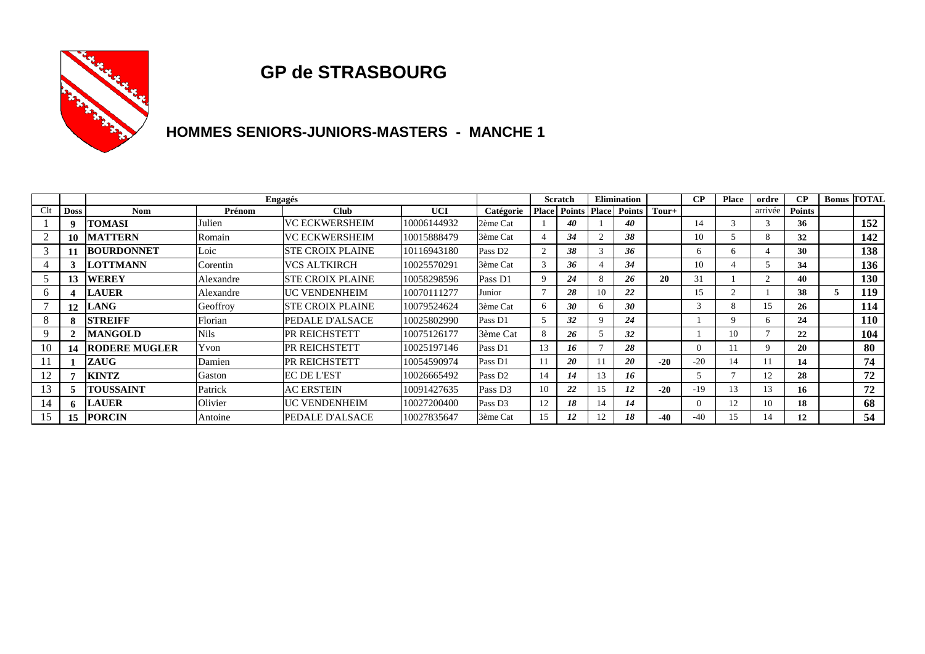

### **GP de STRASBOURG**

## **HOMMES SENIORS-JUNIORS-MASTERS - MANCHE 1**

|     |                  | Engagés              |             |                         |             |                       |    | <b>Scratch</b>      |              | <b>Elimination</b>          |       | $\bf CP$      | <b>Place</b> | ordre       | $\bf CP$      |   | <b>Bonus TOTAL</b> |
|-----|------------------|----------------------|-------------|-------------------------|-------------|-----------------------|----|---------------------|--------------|-----------------------------|-------|---------------|--------------|-------------|---------------|---|--------------------|
| Clt | <b>Doss</b>      | <b>Nom</b>           | Prénom      | <b>Club</b>             | <b>UCI</b>  | Catégorie             |    | <b>Place Points</b> |              | <b>Place Points   Tour+</b> |       |               |              | arrivée     | <b>Points</b> |   |                    |
|     | 9                | <b>TOMASI</b>        | Julien      | <b>VC ECKWERSHEIM</b>   | 10006144932 | 2ème Cat              |    | 40                  |              | 40                          |       | 14            |              |             | 36            |   | 152                |
| 2   | 10               | <b>MATTERN</b>       | Romain      | VC ECKWERSHEIM          | 10015888479 | 3ème Cat              |    | 34                  |              | 38                          |       | 10            |              | 8           | 32            |   | 142                |
| 3   |                  | <b>BOURDONNET</b>    | Loic        | <b>STE CROIX PLAINE</b> | 10116943180 | Pass D <sub>2</sub>   |    | 38                  |              | 36                          |       | 6             |              |             | 30            |   | 138                |
|     |                  | <b>ILOTTMANN</b>     | Corentin    | VCS ALTKIRCH            | 10025570291 | <sup>1</sup> 3ème Cat |    | 36                  |              | 34                          |       | 10            |              |             | 34            |   | 136                |
|     | 13               | <b>WEREY</b>         | Alexandre   | <b>STE CROIX PLAINE</b> | 10058298596 | Pass D1               | Q  | 24                  |              | 26                          | 20    | 31            |              |             | 40            |   | 130                |
| 6   | Δ                | <b>LAUER</b>         | Alexandre   | <b>UC VENDENHEIM</b>    | 10070111277 | Junior                |    | 28                  | 10           | 22                          |       | 15            |              |             | 38            | 5 | 119                |
|     | 12               | <b>LANG</b>          | Geoffroy    | <b>STE CROIX PLAINE</b> | 10079524624 | 3ème Cat              | 6  | 30                  | <sub>b</sub> | 30                          |       | $\mathcal{R}$ | 8            | 15          | 26            |   | 114                |
| 8   |                  | <b>STREIFF</b>       | Florian     | PEDALE D'ALSACE         | 10025802990 | Pass D1               |    | 32                  |              | 24                          |       |               |              | 6           | 24            |   | 110                |
| 9   | $\boldsymbol{2}$ | <b>MANGOLD</b>       | <b>Nils</b> | <b>PR REICHSTETT</b>    | 10075126177 | 3ème Cat              | 8  | 26                  |              | 32                          |       |               | 10           |             | 22            |   | 104                |
| 10  | 14               | <b>RODERE MUGLER</b> | Yvon        | <b>PR REICHSTETT</b>    | 10025197146 | Pass D1               | 13 | 16                  |              | 28                          |       | $\Omega$      | 11           | $\mathbf Q$ | 20            |   | 80                 |
|     |                  | ZAUG                 | Damien      | <b>PR REICHSTETT</b>    | 10054590974 | Pass D1               |    | 20                  |              | 20                          | $-20$ | $-20$         | 14           |             | 14            |   | 74                 |
| 12  |                  | <b>KINTZ</b>         | Gaston      | <b>EC DE L'EST</b>      | 10026665492 | Pass D <sub>2</sub>   | 14 | 14                  | 3            | 16                          |       |               |              | 12          | 28            |   | 72                 |
| 13  | C.               | <b>TOUSSAINT</b>     | Patrick     | <b>AC ERSTEIN</b>       | 10091427635 | Pass D <sub>3</sub>   | 10 | 22                  |              | 12                          | $-20$ | $-19$         | 13           | 13          | 16            |   | 72                 |
| 14  | 6                | <b>LAUER</b>         | Olivier     | <b>UC VENDENHEIM</b>    | 10027200400 | Pass D <sub>3</sub>   | 12 | 18                  | 14           | 14                          |       | $\Omega$      | 12           | 10          | 18            |   | 68                 |
|     | 15               | <b>PORCIN</b>        | Antoine     | PEDALE D'ALSACE         | 10027835647 | 3ème Cat              | 15 | 12                  |              | 18                          | $-40$ | $-40$         | 15           | 14          | 12            |   | 54                 |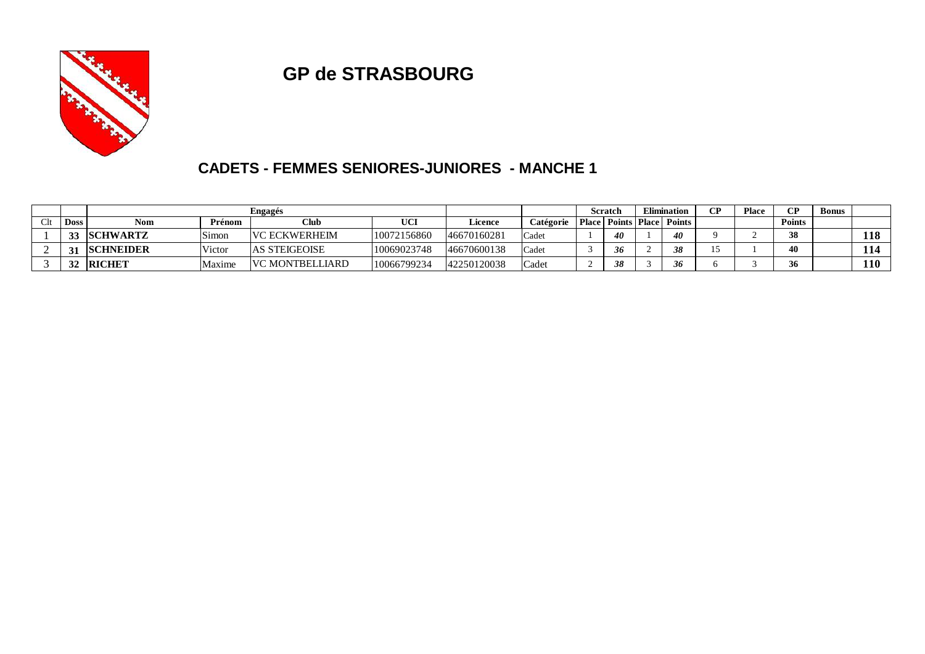

## **GP de STRASBOURG**

#### **CADETS - FEMMES SENIORES-JUNIORES - MANCHE 1**

|             | Engagés          |        |                        |             |             |                    | Scratch      |    | Elimination |                            | CР | <b>CP</b>     | <b>Bonus</b> |            |
|-------------|------------------|--------|------------------------|-------------|-------------|--------------------|--------------|----|-------------|----------------------------|----|---------------|--------------|------------|
| <b>Doss</b> | <b>Nom</b>       | Prénom | Club                   | <b>UCI</b>  | Licence     | Catégorie          | <b>Place</b> |    |             | <b>Points Place Points</b> |    | <b>Points</b> |              |            |
| 33          | <b>SCHWARTZ</b>  | Simon  | <b>VC ECKWERHEIM</b>   | 10072156860 | 46670160281 | <sup>1</sup> Cadet |              | 40 |             | 40                         |    | 38            |              | 118        |
| 21          | <b>SCHNEIDER</b> | Victor | <b>AS STEIGEOISE</b>   | 10069023748 | 46670600138 | Cadet              |              | 36 |             | 38                         |    | 40            |              | 114        |
| 21          | <b>RICHET</b>    | Maxime | <b>VC MONTBELLIARD</b> | 10066799234 | 42250120038 | Cadet              |              | 38 |             | 36                         |    | 36            |              | <b>110</b> |